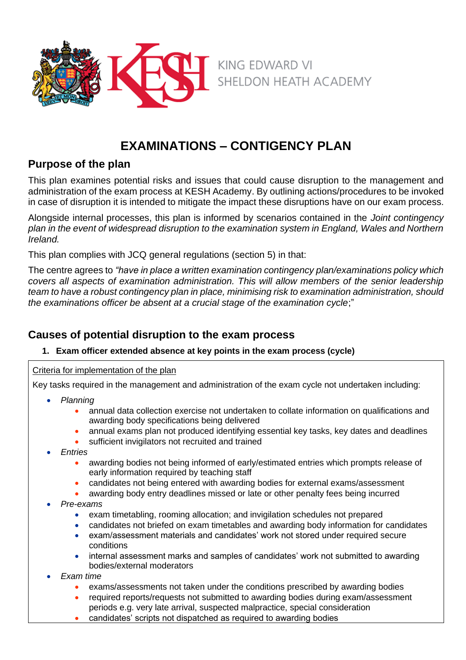

# **EXAMINATIONS – CONTIGENCY PLAN**

# **Purpose of the plan**

This plan examines potential risks and issues that could cause disruption to the management and administration of the exam process at KESH Academy. By outlining actions/procedures to be invoked in case of disruption it is intended to mitigate the impact these disruptions have on our exam process.

Alongside internal processes, this plan is informed by scenarios contained in the *Joint contingency plan in the event of widespread disruption to the examination system in England, Wales and Northern Ireland.* 

This plan complies with JCQ general regulations (section 5) in that:

The centre agrees to *"have in place a written examination contingency plan/examinations policy which covers all aspects of examination administration. This will allow members of the senior leadership team to have a robust contingency plan in place, minimising risk to examination administration, should the examinations officer be absent at a crucial stage of the examination cycle*;"

# **Causes of potential disruption to the exam process**

### **1. Exam officer extended absence at key points in the exam process (cycle)**

### Criteria for implementation of the plan

Key tasks required in the management and administration of the exam cycle not undertaken including:

- *Planning*
	- annual data collection exercise not undertaken to collate information on qualifications and awarding body specifications being delivered
	- annual exams plan not produced identifying essential key tasks, key dates and deadlines
	- sufficient invigilators not recruited and trained
- *Entries*
	- awarding bodies not being informed of early/estimated entries which prompts release of early information required by teaching staff
	- candidates not being entered with awarding bodies for external exams/assessment
	- awarding body entry deadlines missed or late or other penalty fees being incurred
- *Pre-exams*
	- exam timetabling, rooming allocation; and invigilation schedules not prepared
	- candidates not briefed on exam timetables and awarding body information for candidates
	- exam/assessment materials and candidates' work not stored under required secure conditions
	- internal assessment marks and samples of candidates' work not submitted to awarding bodies/external moderators
- *Exam time*
	- exams/assessments not taken under the conditions prescribed by awarding bodies
	- required reports/requests not submitted to awarding bodies during exam/assessment periods e.g. very late arrival, suspected malpractice, special consideration
	- candidates' scripts not dispatched as required to awarding bodies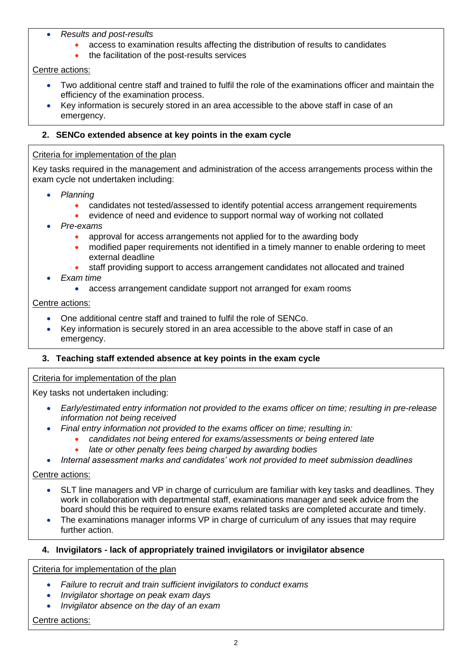- *Results and post-results*
	- access to examination results affecting the distribution of results to candidates
	- the facilitation of the post-results services

Centre actions:

- Two additional centre staff and trained to fulfil the role of the examinations officer and maintain the efficiency of the examination process.
- Key information is securely stored in an area accessible to the above staff in case of an emergency.

### **2. SENCo extended absence at key points in the exam cycle**

### Criteria for implementation of the plan

Key tasks required in the management and administration of the access arrangements process within the exam cycle not undertaken including:

- *Planning*
	- candidates not tested/assessed to identify potential access arrangement requirements
	- evidence of need and evidence to support normal way of working not collated
- *Pre-exams*
	- approval for access arrangements not applied for to the awarding body
	- modified paper requirements not identified in a timely manner to enable ordering to meet external deadline
	- staff providing support to access arrangement candidates not allocated and trained
- *Exam time*
	- access arrangement candidate support not arranged for exam rooms

#### Centre actions:

- One additional centre staff and trained to fulfil the role of SENCo.
- Key information is securely stored in an area accessible to the above staff in case of an emergency.

### **3. Teaching staff extended absence at key points in the exam cycle**

#### Criteria for implementation of the plan

Key tasks not undertaken including:

- *Early/estimated entry information not provided to the exams officer on time; resulting in pre-release information not being received*
- *Final entry information not provided to the exams officer on time; resulting in:*
	- *candidates not being entered for exams/assessments or being entered late*
	- *late or other penalty fees being charged by awarding bodies*
- *Internal assessment marks and candidates' work not provided to meet submission deadlines*

#### Centre actions:

- SLT line managers and VP in charge of curriculum are familiar with key tasks and deadlines. They work in collaboration with departmental staff, examinations manager and seek advice from the board should this be required to ensure exams related tasks are completed accurate and timely.
- The examinations manager informs VP in charge of curriculum of any issues that may require further action.

### **4. Invigilators - lack of appropriately trained invigilators or invigilator absence**

Criteria for implementation of the plan

- *Failure to recruit and train sufficient invigilators to conduct exams*
- *Invigilator shortage on peak exam days*
- *Invigilator absence on the day of an exam*

Centre actions: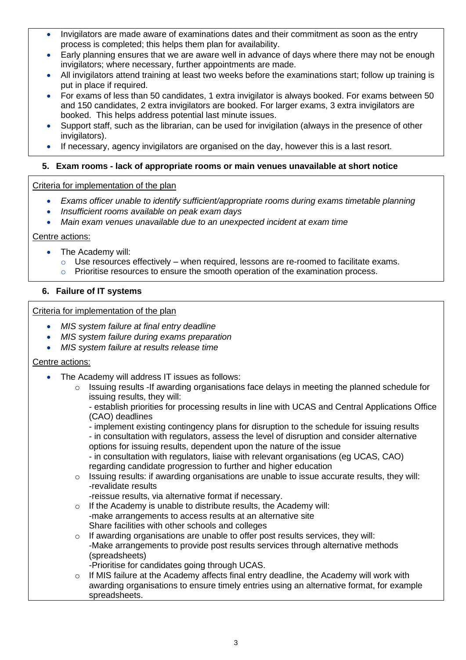- Invigilators are made aware of examinations dates and their commitment as soon as the entry process is completed; this helps them plan for availability.
- Early planning ensures that we are aware well in advance of days where there may not be enough invigilators; where necessary, further appointments are made.
- All invigilators attend training at least two weeks before the examinations start; follow up training is put in place if required.
- For exams of less than 50 candidates, 1 extra invigilator is always booked. For exams between 50 and 150 candidates, 2 extra invigilators are booked. For larger exams, 3 extra invigilators are booked. This helps address potential last minute issues.
- Support staff, such as the librarian, can be used for invigilation (always in the presence of other invigilators).
- If necessary, agency invigilators are organised on the day, however this is a last resort.

### **5. Exam rooms - lack of appropriate rooms or main venues unavailable at short notice**

#### Criteria for implementation of the plan

- *Exams officer unable to identify sufficient/appropriate rooms during exams timetable planning*
- *Insufficient rooms available on peak exam days*
- *Main exam venues unavailable due to an unexpected incident at exam time*

#### Centre actions:

- The Academy will:
	- o Use resources effectively when required, lessons are re-roomed to facilitate exams.
	- o Prioritise resources to ensure the smooth operation of the examination process.

### **6. Failure of IT systems**

#### Criteria for implementation of the plan

- *MIS system failure at final entry deadline*
- *MIS system failure during exams preparation*
- *MIS system failure at results release time*

#### Centre actions:

- The Academy will address IT issues as follows:
	- $\circ$  Issuing results -If awarding organisations face delays in meeting the planned schedule for issuing results, they will:
		- establish priorities for processing results in line with UCAS and Central Applications Office (CAO) deadlines
		- implement existing contingency plans for disruption to the schedule for issuing results - in consultation with regulators, assess the level of disruption and consider alternative options for issuing results, dependent upon the nature of the issue
		- in consultation with regulators, liaise with relevant organisations (eg UCAS, CAO) regarding candidate progression to further and higher education
	- $\circ$  Issuing results: if awarding organisations are unable to issue accurate results, they will: -revalidate results

-reissue results, via alternative format if necessary.

- o If the Academy is unable to distribute results, the Academy will: -make arrangements to access results at an alternative site Share facilities with other schools and colleges
- o If awarding organisations are unable to offer post results services, they will: -Make arrangements to provide post results services through alternative methods (spreadsheets)
	- -Prioritise for candidates going through UCAS.
- $\circ$  If MIS failure at the Academy affects final entry deadline, the Academy will work with awarding organisations to ensure timely entries using an alternative format, for example spreadsheets.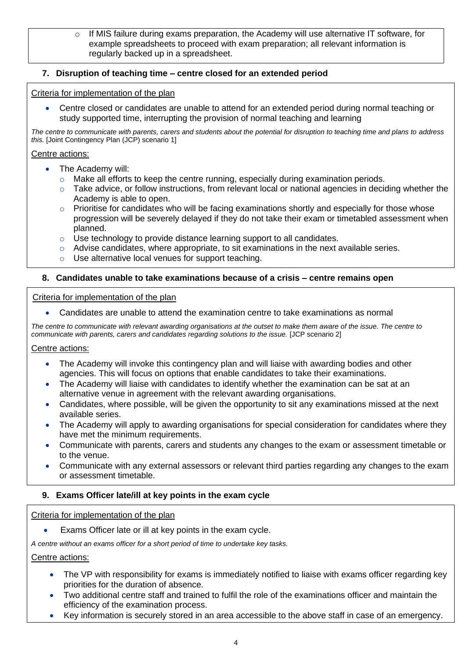If MIS failure during exams preparation, the Academy will use alternative IT software, for example spreadsheets to proceed with exam preparation; all relevant information is regularly backed up in a spreadsheet.

### **7. Disruption of teaching time – centre closed for an extended period**

### Criteria for implementation of the plan

• Centre closed or candidates are unable to attend for an extended period during normal teaching or study supported time, interrupting the provision of normal teaching and learning

*The centre to communicate with parents, carers and students about the potential for disruption to teaching time and plans to address this.* [Joint Contingency Plan (JCP) scenario 1]

### Centre actions:

- The Academy will:
	- o Make all efforts to keep the centre running, especially during examination periods.
	- $\circ$  Take advice, or follow instructions, from relevant local or national agencies in deciding whether the Academy is able to open.
	- o Prioritise for candidates who will be facing examinations shortly and especially for those whose progression will be severely delayed if they do not take their exam or timetabled assessment when planned.
	- o Use technology to provide distance learning support to all candidates.
	- $\circ$  Advise candidates, where appropriate, to sit examinations in the next available series.
	- o Use alternative local venues for support teaching.

### **8. Candidates unable to take examinations because of a crisis – centre remains open**

#### Criteria for implementation of the plan

• Candidates are unable to attend the examination centre to take examinations as normal

*The centre to communicate with relevant awarding organisations at the outset to make them aware of the issue. The centre to communicate with parents, carers and candidates regarding solutions to the issue.* [JCP scenario 2]

#### Centre actions:

- The Academy will invoke this contingency plan and will liaise with awarding bodies and other agencies. This will focus on options that enable candidates to take their examinations.
- The Academy will liaise with candidates to identify whether the examination can be sat at an alternative venue in agreement with the relevant awarding organisations.
- Candidates, where possible, will be given the opportunity to sit any examinations missed at the next available series.
- The Academy will apply to awarding organisations for special consideration for candidates where they have met the minimum requirements.
- Communicate with parents, carers and students any changes to the exam or assessment timetable or to the venue.
- Communicate with any external assessors or relevant third parties regarding any changes to the exam or assessment timetable.

### **9. Exams Officer late/ill at key points in the exam cycle**

#### Criteria for implementation of the plan

Exams Officer late or ill at key points in the exam cycle.

*A centre without an exams officer for a short period of time to undertake key tasks.*

#### Centre actions:

- The VP with responsibility for exams is immediately notified to liaise with exams officer regarding key priorities for the duration of absence.
- • Two additional centre staff and trained to fulfil the role of the examinations officer and maintain the efficiency of the examination process.
- Key information is securely stored in an area accessible to the above staff in case of an emergency.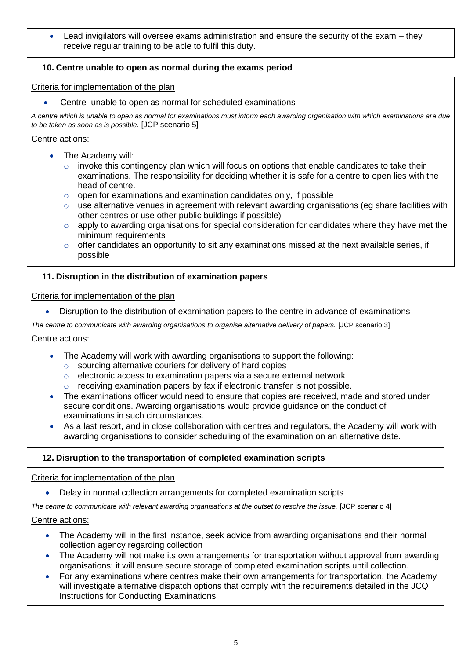• Lead invigilators will oversee exams administration and ensure the security of the exam – they receive regular training to be able to fulfil this duty.

### **10. Centre unable to open as normal during the exams period**

#### Criteria for implementation of the plan

• Centre unable to open as normal for scheduled examinations

*A centre which is unable to open as normal for examinations must inform each awarding organisation with which examinations are due to be taken as soon as is possible.* [JCP scenario 5]

#### Centre actions:

- The Academy will:
	- o invoke this contingency plan which will focus on options that enable candidates to take their examinations. The responsibility for deciding whether it is safe for a centre to open lies with the head of centre.
	- $\circ$  open for examinations and examination candidates only, if possible
	- $\circ$  use alternative venues in agreement with relevant awarding organisations (eg share facilities with other centres or use other public buildings if possible)
	- o apply to awarding organisations for special consideration for candidates where they have met the minimum requirements
	- $\circ$  offer candidates an opportunity to sit any examinations missed at the next available series, if possible

### **11. Disruption in the distribution of examination papers**

#### Criteria for implementation of the plan

• Disruption to the distribution of examination papers to the centre in advance of examinations

*The centre to communicate with awarding organisations to organise alternative delivery of papers.* [JCP scenario 3]

#### Centre actions:

- The Academy will work with awarding organisations to support the following:
	- o sourcing alternative couriers for delivery of hard copies
	- o electronic access to examination papers via a secure external network
	- o receiving examination papers by fax if electronic transfer is not possible.
- • The examinations officer would need to ensure that copies are received, made and stored under secure conditions. Awarding organisations would provide guidance on the conduct of examinations in such circumstances.
- As a last resort, and in close collaboration with centres and regulators, the Academy will work with awarding organisations to consider scheduling of the examination on an alternative date.

### **12. Disruption to the transportation of completed examination scripts**

#### Criteria for implementation of the plan

• Delay in normal collection arrangements for completed examination scripts

*The centre to communicate with relevant awarding organisations at the outset to resolve the issue.* [JCP scenario 4]

#### Centre actions:

- The Academy will in the first instance, seek advice from awarding organisations and their normal collection agency regarding collection
- The Academy will not make its own arrangements for transportation without approval from awarding organisations; it will ensure secure storage of completed examination scripts until collection.
- For any examinations where centres make their own arrangements for transportation, the Academy will investigate alternative dispatch options that comply with the requirements detailed in the JCQ Instructions for Conducting Examinations.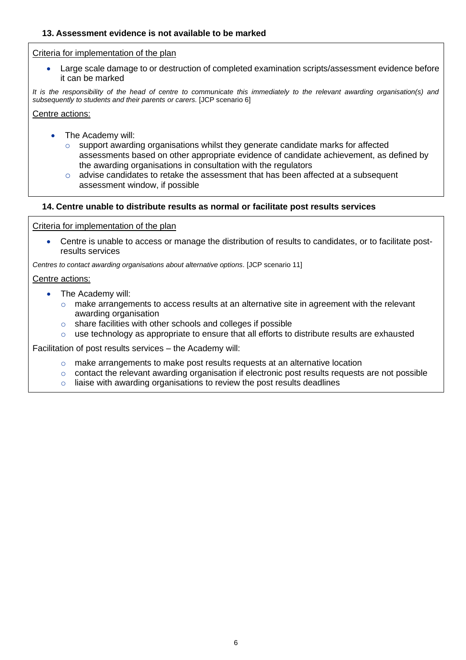#### **13. Assessment evidence is not available to be marked**

#### Criteria for implementation of the plan

• Large scale damage to or destruction of completed examination scripts/assessment evidence before it can be marked

*It is the responsibility of the head of centre to communicate this immediately to the relevant awarding organisation(s) and subsequently to students and their parents or carers.* [JCP scenario 6]

Centre actions:

- The Academy will:
	- $\circ$  support awarding organisations whilst they generate candidate marks for affected assessments based on other appropriate evidence of candidate achievement, as defined by the awarding organisations in consultation with the regulators
	- $\circ$  advise candidates to retake the assessment that has been affected at a subsequent assessment window, if possible

#### **14. Centre unable to distribute results as normal or facilitate post results services**

#### Criteria for implementation of the plan

• Centre is unable to access or manage the distribution of results to candidates, or to facilitate postresults services

*Centres to contact awarding organisations about alternative options.* [JCP scenario 11]

#### Centre actions:

- The Academy will:
	- o make arrangements to access results at an alternative site in agreement with the relevant awarding organisation
	- o share facilities with other schools and colleges if possible
	- o use technology as appropriate to ensure that all efforts to distribute results are exhausted

Facilitation of post results services – the Academy will:

- $\circ$  make arrangements to make post results requests at an alternative location
- o contact the relevant awarding organisation if electronic post results requests are not possible
- $\circ$  liaise with awarding organisations to review the post results deadlines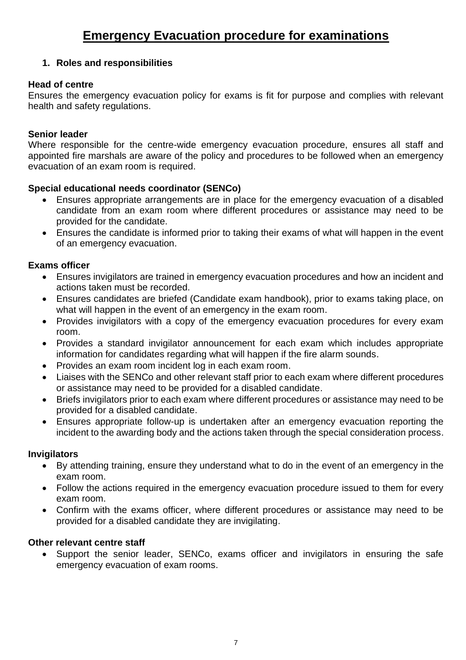# **1. Roles and responsibilities**

# **Head of centre**

Ensures the emergency evacuation policy for exams is fit for purpose and complies with relevant health and safety regulations.

# **Senior leader**

Where responsible for the centre-wide emergency evacuation procedure, ensures all staff and appointed fire marshals are aware of the policy and procedures to be followed when an emergency evacuation of an exam room is required.

# **Special educational needs coordinator (SENCo)**

- Ensures appropriate arrangements are in place for the emergency evacuation of a disabled candidate from an exam room where different procedures or assistance may need to be provided for the candidate.
- Ensures the candidate is informed prior to taking their exams of what will happen in the event of an emergency evacuation.

# **Exams officer**

- Ensures invigilators are trained in emergency evacuation procedures and how an incident and actions taken must be recorded.
- Ensures candidates are briefed (Candidate exam handbook), prior to exams taking place, on what will happen in the event of an emergency in the exam room.
- Provides invigilators with a copy of the emergency evacuation procedures for every exam room.
- Provides a standard invigilator announcement for each exam which includes appropriate information for candidates regarding what will happen if the fire alarm sounds.
- Provides an exam room incident log in each exam room.
- Liaises with the SENCo and other relevant staff prior to each exam where different procedures or assistance may need to be provided for a disabled candidate.
- Briefs invigilators prior to each exam where different procedures or assistance may need to be provided for a disabled candidate.
- Ensures appropriate follow-up is undertaken after an emergency evacuation reporting the incident to the awarding body and the actions taken through the special consideration process.

# **Invigilators**

- By attending training, ensure they understand what to do in the event of an emergency in the exam room.
- Follow the actions required in the emergency evacuation procedure issued to them for every exam room.
- Confirm with the exams officer, where different procedures or assistance may need to be provided for a disabled candidate they are invigilating.

# **Other relevant centre staff**

• Support the senior leader, SENCo, exams officer and invigilators in ensuring the safe emergency evacuation of exam rooms.